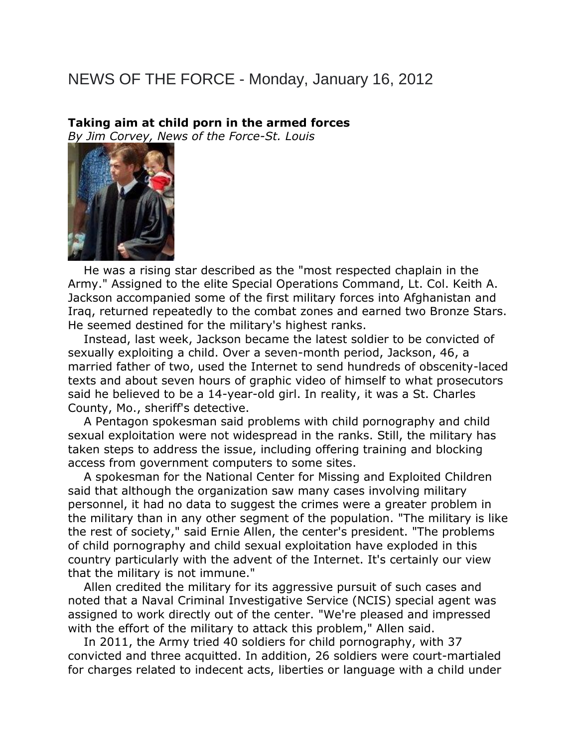## NEWS OF THE FORCE - Monday, January 16, 2012

## **Taking aim at child porn in the armed forces**

*By Jim Corvey, News of the Force-St. Louis*



 He was a rising star described as the "most respected chaplain in the Army." Assigned to the elite Special Operations Command, Lt. Col. Keith A. Jackson accompanied some of the first military forces into Afghanistan and Iraq, returned repeatedly to the combat zones and earned two Bronze Stars. He seemed destined for the military's highest ranks.

 Instead, last week, Jackson became the latest soldier to be convicted of sexually exploiting a child. Over a seven-month period, Jackson, 46, a married father of two, used the Internet to send hundreds of obscenity-laced texts and about seven hours of graphic video of himself to what prosecutors said he believed to be a 14-year-old girl. In reality, it was a St. Charles County, Mo., sheriff's detective.

 A Pentagon spokesman said problems with child pornography and child sexual exploitation were not widespread in the ranks. Still, the military has taken steps to address the issue, including offering training and blocking access from government computers to some sites.

 A spokesman for the National Center for Missing and Exploited Children said that although the organization saw many cases involving military personnel, it had no data to suggest the crimes were a greater problem in the military than in any other segment of the population. "The military is like the rest of society," said Ernie Allen, the center's president. "The problems of child pornography and child sexual exploitation have exploded in this country particularly with the advent of the Internet. It's certainly our view that the military is not immune."

 Allen credited the military for its aggressive pursuit of such cases and noted that a Naval Criminal Investigative Service (NCIS) special agent was assigned to work directly out of the center. "We're pleased and impressed with the effort of the military to attack this problem," Allen said.

 In 2011, the Army tried 40 soldiers for child pornography, with 37 convicted and three acquitted. In addition, 26 soldiers were court-martialed for charges related to indecent acts, liberties or language with a child under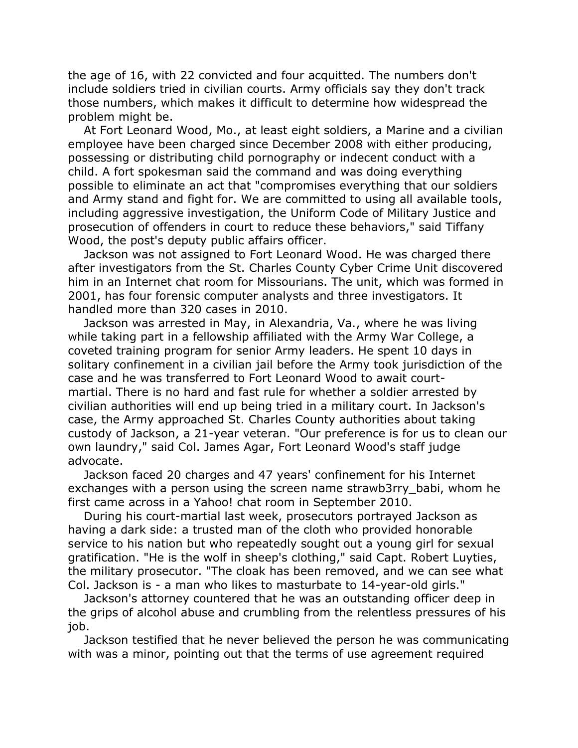the age of 16, with 22 convicted and four acquitted. The numbers don't include soldiers tried in civilian courts. Army officials say they don't track those numbers, which makes it difficult to determine how widespread the problem might be.

 At Fort Leonard Wood, Mo., at least eight soldiers, a Marine and a civilian employee have been charged since December 2008 with either producing, possessing or distributing child pornography or indecent conduct with a child. A fort spokesman said the command and was doing everything possible to eliminate an act that "compromises everything that our soldiers and Army stand and fight for. We are committed to using all available tools, including aggressive investigation, the Uniform Code of Military Justice and prosecution of offenders in court to reduce these behaviors," said Tiffany Wood, the post's deputy public affairs officer.

 Jackson was not assigned to Fort Leonard Wood. He was charged there after investigators from the St. Charles County Cyber Crime Unit discovered him in an Internet chat room for Missourians. The unit, which was formed in 2001, has four forensic computer analysts and three investigators. It handled more than 320 cases in 2010.

 Jackson was arrested in May, in Alexandria, Va., where he was living while taking part in a fellowship affiliated with the Army War College, a coveted training program for senior Army leaders. He spent 10 days in solitary confinement in a civilian jail before the Army took jurisdiction of the case and he was transferred to Fort Leonard Wood to await courtmartial. There is no hard and fast rule for whether a soldier arrested by civilian authorities will end up being tried in a military court. In Jackson's case, the Army approached St. Charles County authorities about taking custody of Jackson, a 21-year veteran. "Our preference is for us to clean our own laundry," said Col. James Agar, Fort Leonard Wood's staff judge advocate.

 Jackson faced 20 charges and 47 years' confinement for his Internet exchanges with a person using the screen name strawb3rry babi, whom he first came across in a Yahoo! chat room in September 2010.

 During his court-martial last week, prosecutors portrayed Jackson as having a dark side: a trusted man of the cloth who provided honorable service to his nation but who repeatedly sought out a young girl for sexual gratification. "He is the wolf in sheep's clothing," said Capt. Robert Luyties, the military prosecutor. "The cloak has been removed, and we can see what Col. Jackson is - a man who likes to masturbate to 14-year-old girls."

 Jackson's attorney countered that he was an outstanding officer deep in the grips of alcohol abuse and crumbling from the relentless pressures of his job.

 Jackson testified that he never believed the person he was communicating with was a minor, pointing out that the terms of use agreement required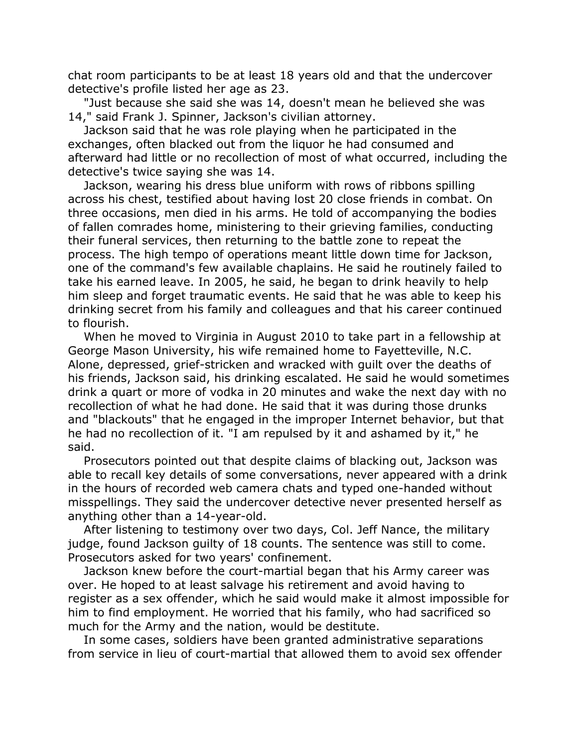chat room participants to be at least 18 years old and that the undercover detective's profile listed her age as 23.

 "Just because she said she was 14, doesn't mean he believed she was 14," said Frank J. Spinner, Jackson's civilian attorney.

 Jackson said that he was role playing when he participated in the exchanges, often blacked out from the liquor he had consumed and afterward had little or no recollection of most of what occurred, including the detective's twice saying she was 14.

 Jackson, wearing his dress blue uniform with rows of ribbons spilling across his chest, testified about having lost 20 close friends in combat. On three occasions, men died in his arms. He told of accompanying the bodies of fallen comrades home, ministering to their grieving families, conducting their funeral services, then returning to the battle zone to repeat the process. The high tempo of operations meant little down time for Jackson, one of the command's few available chaplains. He said he routinely failed to take his earned leave. In 2005, he said, he began to drink heavily to help him sleep and forget traumatic events. He said that he was able to keep his drinking secret from his family and colleagues and that his career continued to flourish.

 When he moved to Virginia in August 2010 to take part in a fellowship at George Mason University, his wife remained home to Fayetteville, N.C. Alone, depressed, grief-stricken and wracked with guilt over the deaths of his friends, Jackson said, his drinking escalated. He said he would sometimes drink a quart or more of vodka in 20 minutes and wake the next day with no recollection of what he had done. He said that it was during those drunks and "blackouts" that he engaged in the improper Internet behavior, but that he had no recollection of it. "I am repulsed by it and ashamed by it," he said.

 Prosecutors pointed out that despite claims of blacking out, Jackson was able to recall key details of some conversations, never appeared with a drink in the hours of recorded web camera chats and typed one-handed without misspellings. They said the undercover detective never presented herself as anything other than a 14-year-old.

 After listening to testimony over two days, Col. Jeff Nance, the military judge, found Jackson guilty of 18 counts. The sentence was still to come. Prosecutors asked for two years' confinement.

 Jackson knew before the court-martial began that his Army career was over. He hoped to at least salvage his retirement and avoid having to register as a sex offender, which he said would make it almost impossible for him to find employment. He worried that his family, who had sacrificed so much for the Army and the nation, would be destitute.

 In some cases, soldiers have been granted administrative separations from service in lieu of court-martial that allowed them to avoid sex offender